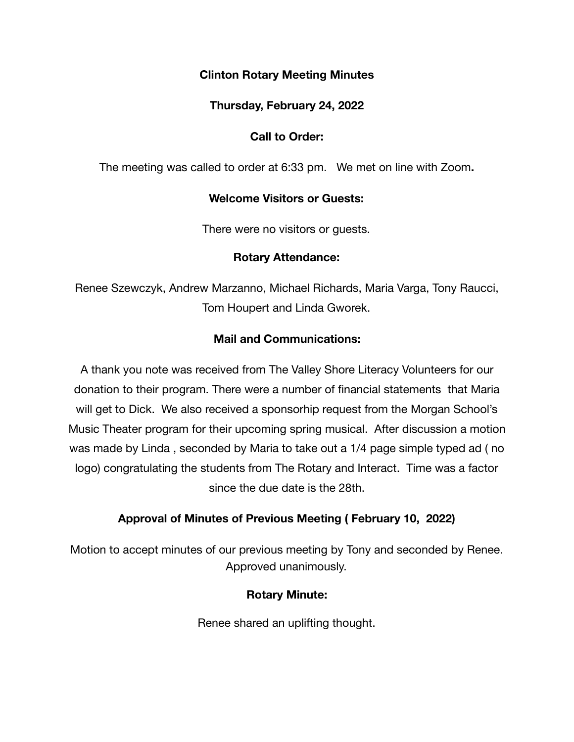# **Clinton Rotary Meeting Minutes**

### **Thursday, February 24, 2022**

# **Call to Order:**

The meeting was called to order at 6:33 pm. We met on line with Zoom**.** 

#### **Welcome Visitors or Guests:**

There were no visitors or guests.

#### **Rotary Attendance:**

Renee Szewczyk, Andrew Marzanno, Michael Richards, Maria Varga, Tony Raucci, Tom Houpert and Linda Gworek.

#### **Mail and Communications:**

A thank you note was received from The Valley Shore Literacy Volunteers for our donation to their program. There were a number of financial statements that Maria will get to Dick. We also received a sponsorhip request from the Morgan School's Music Theater program for their upcoming spring musical. After discussion a motion was made by Linda , seconded by Maria to take out a 1/4 page simple typed ad ( no logo) congratulating the students from The Rotary and Interact. Time was a factor since the due date is the 28th.

# **Approval of Minutes of Previous Meeting ( February 10, 2022)**

Motion to accept minutes of our previous meeting by Tony and seconded by Renee. Approved unanimously.

# **Rotary Minute:**

Renee shared an uplifting thought.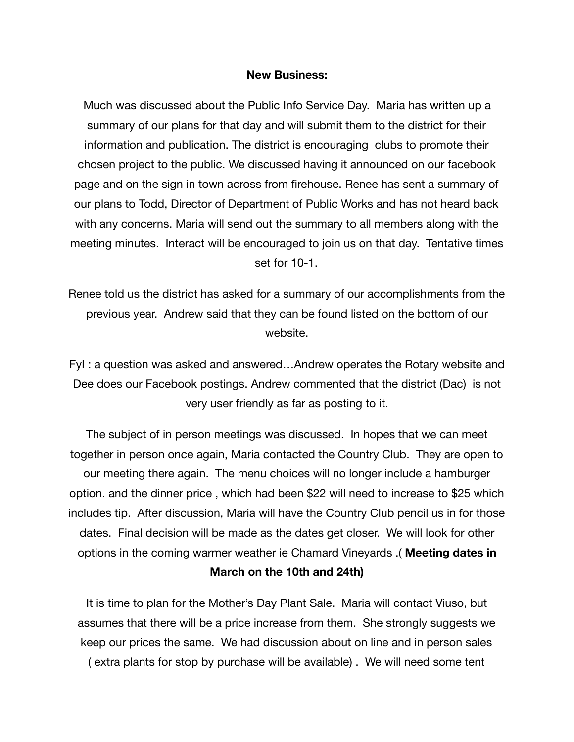#### **New Business:**

Much was discussed about the Public Info Service Day. Maria has written up a summary of our plans for that day and will submit them to the district for their information and publication. The district is encouraging clubs to promote their chosen project to the public. We discussed having it announced on our facebook page and on the sign in town across from firehouse. Renee has sent a summary of our plans to Todd, Director of Department of Public Works and has not heard back with any concerns. Maria will send out the summary to all members along with the meeting minutes. Interact will be encouraged to join us on that day. Tentative times set for 10-1.

Renee told us the district has asked for a summary of our accomplishments from the previous year. Andrew said that they can be found listed on the bottom of our website.

FyI : a question was asked and answered…Andrew operates the Rotary website and Dee does our Facebook postings. Andrew commented that the district (Dac) is not very user friendly as far as posting to it.

The subject of in person meetings was discussed. In hopes that we can meet together in person once again, Maria contacted the Country Club. They are open to our meeting there again. The menu choices will no longer include a hamburger option. and the dinner price , which had been \$22 will need to increase to \$25 which includes tip. After discussion, Maria will have the Country Club pencil us in for those dates. Final decision will be made as the dates get closer. We will look for other options in the coming warmer weather ie Chamard Vineyards .( **Meeting dates in March on the 10th and 24th)** 

It is time to plan for the Mother's Day Plant Sale. Maria will contact Viuso, but assumes that there will be a price increase from them. She strongly suggests we keep our prices the same. We had discussion about on line and in person sales ( extra plants for stop by purchase will be available) . We will need some tent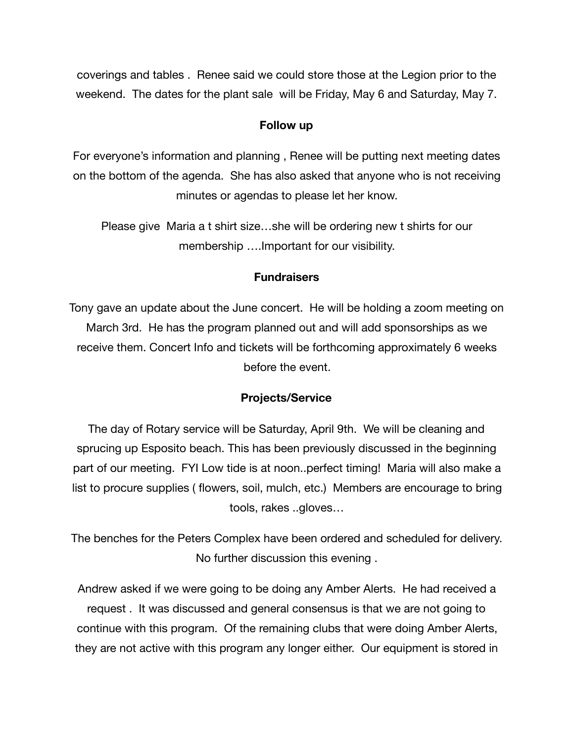coverings and tables . Renee said we could store those at the Legion prior to the weekend. The dates for the plant sale will be Friday, May 6 and Saturday, May 7.

#### **Follow up**

For everyone's information and planning , Renee will be putting next meeting dates on the bottom of the agenda. She has also asked that anyone who is not receiving minutes or agendas to please let her know.

Please give Maria a t shirt size…she will be ordering new t shirts for our membership ….Important for our visibility.

#### **Fundraisers**

Tony gave an update about the June concert. He will be holding a zoom meeting on March 3rd. He has the program planned out and will add sponsorships as we receive them. Concert Info and tickets will be forthcoming approximately 6 weeks before the event.

#### **Projects/Service**

The day of Rotary service will be Saturday, April 9th. We will be cleaning and sprucing up Esposito beach. This has been previously discussed in the beginning part of our meeting. FYI Low tide is at noon..perfect timing! Maria will also make a list to procure supplies ( flowers, soil, mulch, etc.) Members are encourage to bring tools, rakes ..gloves…

The benches for the Peters Complex have been ordered and scheduled for delivery. No further discussion this evening .

Andrew asked if we were going to be doing any Amber Alerts. He had received a request . It was discussed and general consensus is that we are not going to continue with this program. Of the remaining clubs that were doing Amber Alerts, they are not active with this program any longer either. Our equipment is stored in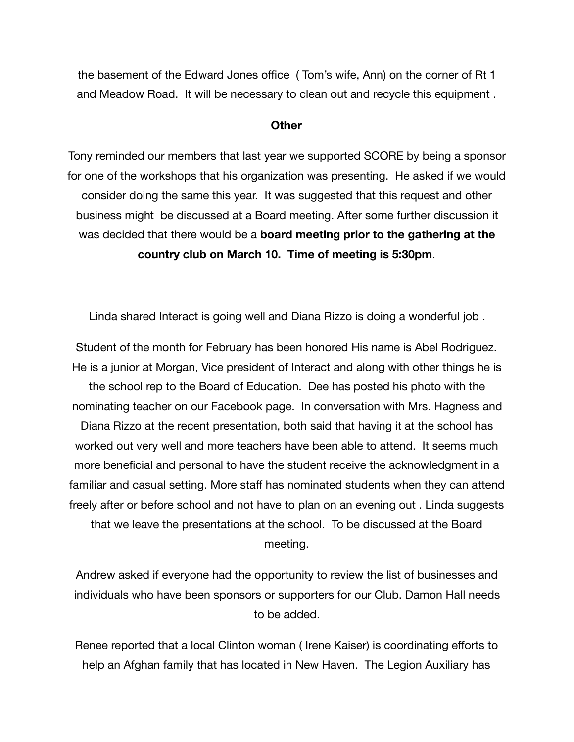the basement of the Edward Jones office ( Tom's wife, Ann) on the corner of Rt 1 and Meadow Road. It will be necessary to clean out and recycle this equipment .

#### **Other**

Tony reminded our members that last year we supported SCORE by being a sponsor for one of the workshops that his organization was presenting. He asked if we would consider doing the same this year. It was suggested that this request and other business might be discussed at a Board meeting. After some further discussion it was decided that there would be a **board meeting prior to the gathering at the country club on March 10. Time of meeting is 5:30pm**.

Linda shared Interact is going well and Diana Rizzo is doing a wonderful job .

Student of the month for February has been honored His name is Abel Rodriguez. He is a junior at Morgan, Vice president of Interact and along with other things he is the school rep to the Board of Education. Dee has posted his photo with the nominating teacher on our Facebook page. In conversation with Mrs. Hagness and Diana Rizzo at the recent presentation, both said that having it at the school has worked out very well and more teachers have been able to attend. It seems much more beneficial and personal to have the student receive the acknowledgment in a familiar and casual setting. More staff has nominated students when they can attend freely after or before school and not have to plan on an evening out . Linda suggests that we leave the presentations at the school. To be discussed at the Board meeting.

Andrew asked if everyone had the opportunity to review the list of businesses and individuals who have been sponsors or supporters for our Club. Damon Hall needs to be added.

Renee reported that a local Clinton woman ( Irene Kaiser) is coordinating efforts to help an Afghan family that has located in New Haven. The Legion Auxiliary has